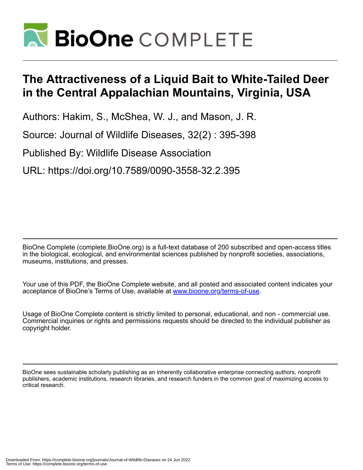

## **The Attractiveness of a Liquid Bait to White-Tailed Deer in the Central Appalachian Mountains, Virginia, USA**

Authors: Hakim, S., McShea, W. J., and Mason, J. R.

Source: Journal of Wildlife Diseases, 32(2) : 395-398

Published By: Wildlife Disease Association

URL: https://doi.org/10.7589/0090-3558-32.2.395

BioOne Complete (complete.BioOne.org) is a full-text database of 200 subscribed and open-access titles in the biological, ecological, and environmental sciences published by nonprofit societies, associations, museums, institutions, and presses.

Your use of this PDF, the BioOne Complete website, and all posted and associated content indicates your acceptance of BioOne's Terms of Use, available at www.bioone.org/terms-of-use.

Usage of BioOne Complete content is strictly limited to personal, educational, and non - commercial use. Commercial inquiries or rights and permissions requests should be directed to the individual publisher as copyright holder.

BioOne sees sustainable scholarly publishing as an inherently collaborative enterprise connecting authors, nonprofit publishers, academic institutions, research libraries, and research funders in the common goal of maximizing access to critical research.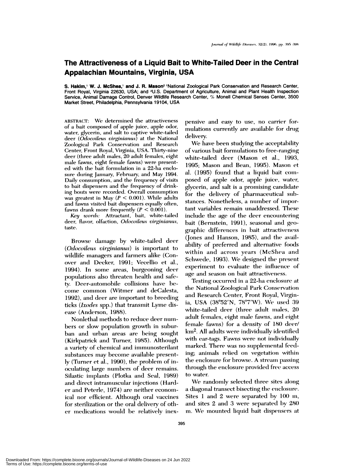## **The Attractiveness of a Liquid Bait to White-Tailed Deer in the Central Appalachian Mountains, Virginia, USA**

**S. Haklm,' W. J. McShea, and J. R. Mason2** 'National Zoological Park Conservation and Research Center, Front Royal, Virginia 22630, USA; and 2U.S. Department of Agriculture, Animal and Plant Health Inspection Service, Animal Damage Control, Denver Wildlife Research Center, % Monell Chemical Senses Center, 3500 Market Street, Philadelphia, Pennsylvania 19104, USA

ABSTRACT: We determined the attractiveness of a bait composed of apple juice, apple odor, water, glycerin, and salt to captive white-tailed deer (Odocoileus virginianus) at the National Zoological Park Conservation and Research Center, Front Royal, Virginia, USA. Thirty-nine deer (three adult males, 20 adult females, eight male fawns, eight female fawns) were presented with the bait formulation in a 22-ha enclosure during January, February, and May 1994. Daily consumption, and the frequency of visits to bait dispensers and the frequency of drinking bouts were recorded. Overall consumption was greatest in May  $(P < 0.001)$ . While adults and fawns visited bait dispensers equally often, fawns drank more frequently  $(P < 0.001)$ .

Key words: Attractant, bait, white-tailed deer, flavor, olfaction, *Odocoilens virginianus,* taste.

Browse damnage by white-tailed deer **(***Odocoileus virginianus)* is important to wildlife managers and farmers alike (Conover and Decker, 1991; Vecellio et al., 1994). In some areas, burgeoning deer populations also threaten health and safety. Deer-automobile collisions have become common (Witmer and deCalesta, 1992), and deer are important to breeding ticks *(Ixodes spp.)* that transmit Lyme dis*ease* (Anderson, 1988).

Nonlethal methods to reduce deer numbers or slow population growth in suburban and urban areas are being sought (Kirkpatrick and Turner, 1985). Although a variety of chemical and immunosterilant substances may become available presently (Turner et al., 1990), the problem of inoculating large numbers of deer remains. Silastic implants (Plotka and Seal, 1989) and direct intramuscular injections (Hard er and Peterle, 1974) are neither economical nor efficient. Although oral vaccines for sterilization or the oral delivery of other medications would be relatively inex-

pensive and easy to use, no carrier formulations currently are available for drug delivery.

We have been studying the acceptability of various bait formulations to free-ranging white-tailed deer (Mason et al., 1993, 1995; Mason and Bean, 1995). Mason et al. (1995) found that a liquid bait composed of apple odor, apple juice, water, glycerin, and salt is a promising candidate for the delivery of pharmaceutical substances. Nonetheless, a number of important variables remain unaddressed. These include the age of the deer encountering bait (Bernstein, 1991), seasonal and geographic differences in bait attractiveness (Jones and Hanson, 1985), and the availability of preferred and alternative foods within and across years (McShea and Schwede, 1993). We designed the present experiment to evaluate the influence of age and season on bait attractiveness.

Testing occurred in a 22-ha enclosure at the National Zoological Park Conservation and Research Center, Front Royal, Virginia, USA  $(38^{\circ}52'N, 78^{\circ}7'W)$ . We used 39 white-tailed deer (three adult males, 20 adult females, eight male fawns, and eight female fawns) for a density of 180 deer/ km2. **All** adults were individually identified with ear-tags. Fawns were not individually marked. There was no supplemental feeding; animals relied on vegetation within the enclosure for browse. A stream passing through the enclosure provided free access to water.

We randomly selected three sites along a diagonal transect bisecting the enclosure. Sites 1 and 2 were separated by  $100 \,$  m, and sites 2 and 3 were separated by 280 m. We mounted liquid bait dispensers at

Downloaded From: https://complete.bioone.org/journals/Journal-of-Wildlife-Diseases on 24 Jun 2022 Terms of Use: https://complete.bioone.org/terms-of-use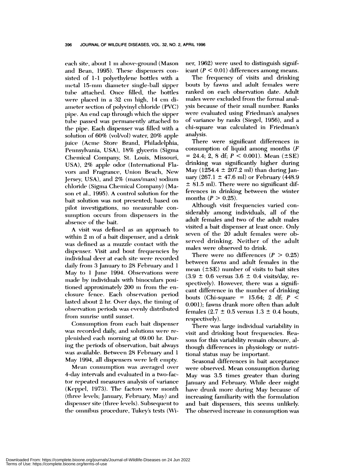each site, about 1 m above-ground (Mason and Bean, 1995). These dispensers consisted of 1-1 polyethylene bottles with a metal 15-mm diameter single-ball sipper tube attached. Once filled, the bottles were placed in a 32 cm high, 14 cm diameter section of polyvinyl chloride (PVC) pipe. An end cap through which the sipper tube passed was permanently attached to the pipe. Each dispenser was filled with a solution of 60% (vol/vol) water, 20% apple juice (Acme Store Brand, Philadelphia, Pennsylvania, USA), 18% glycerin (Sigma Chemical Company, St. Louis, Missouri, USA), 2% apple odor (International Fla vors and Fragrance, Union Beach, New Jersey, USA), and 2% (mass/mass) sodium chloride ( Sigma Chemical Company) (Mason et al., 1995). A control solution for the bait solution was not presented; based on pilot investigations, no measurable consumption occurs from dispensers in the absence of the bait.

A visit was defined as am approach to within 2 m of a bait dispenser, and a drink was defined as a muzzle contact with the dispenser. Visit and bout frequencies by individual deer at each site were recorded daily from 3 January to 28 February and 1 May to 1 June 1994. Observations were made by individuals with binoculars positioned approximately 200 m from the enclosure fence. Each observation period lasted about 2 hr. Over days, the timing of observation periods was evenly distributed from sunrise until sunset.

Consumption from each bait dispenser was recorded daily, and solutions were replenished each morning at 09.00 hr. During the periods of observation, bait always was available. Between 28 February and 1 May 1994, all dispensers were left enmpty.

Mean consumption was averaged over 4-day intervals and evaluated in a two-factor repeated measures analysis of variance (Keppel, 1973). The factors were month (three levels; January, February, May) and dispenser site (three levels). Subsequent to the omnibus procedure, Tukey's tests (Wiher, 1962) were used to distinguish signif*icant*  $(P < 0.01)$  differences among means.

The frequency of visits and drinking bouts by fawns and adult females were ranked on each observation date. Adult males were excluded from the formal analysis because of their small number. Ranks were evaluated using Friedman's analyses of variance by ranks (Siegel, 1956), and a chi-square was calculated in Friedman's analysis.

There were significant differences in consumption of liquid among months (F  $= 24.4$ ; 2, 8 df;  $P < 0.001$ ). Mean ( $\pm$ SE) drinking was significantly higher during May (1254.4  $\pm$  207.2 ml) than during January (267.1  $\pm$  47.6 ml) or February (448.9 **±** 81.5 ml). There were no significant differences in drinking between the winter months  $(P > 0.25)$ .

Although visit frequencies varied considemably among individuals, all of the adult females and two of the adult males visited a bait dispenser at least once. Only seven of the 20 adult females were observed drinking. Neither of the adult males were observed to drink.

There were no differences  $(P > 0.25)$ between fawns and adult females in the mean  $(\pm SE)$  number of visits to bait sites  $(3.9 \pm 0.6 \text{ versus } 3.6 \pm 0.4 \text{ visits/day, re-}$ spectively). However, there was a significant difference in the number of drinking bouts (Chi-square =  $15.64$ ; 2 df;  $P \leq$ 0.001); fawns drank more often than adult females (2.7  $\pm$  0.5 versus 1.3  $\pm$  0.4 bouts, respectively).

There was large individual variability in visit and drinking bout frequencies. Reasons for this variability remain obscure, although differences in physiology or nutritional status may be important.

Seasonal differences in bait acceptance were observed. Mean consumption during May was 3.5 times greater than during January and February. While deer might have drunk more during May because of increasing familiarity with the formulation and bait dispensers, this seems unlikely. The observed increase in consumption was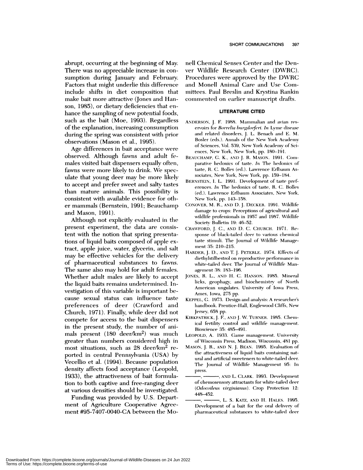abrupt, occurring at the beginning of May. There was no appreciable increase in con sumption during January and February. Factors that might underlie this difference include shifts in diet composition that make bait more attractive (Jones and Han son, 1985), or dietary deficiencies that en hance the sampling of new potential foods, such as the bait (Moe, 1993). Regardless **of** the explanation, increasing consumption during the spring was consistent with prior observations (Mason et al., 1995).

Age differences in bait acceptance were observed. Although fawns and adult females visited bait dispensers equally often, fawns *were* more likely to drink. We speculate that young deer may be more likely to accept and prefer sweet and salty tastes than mature animals. This possibility is consistent with available evidence for other mammals (Bernstein, 1991; Beauchamp and Mason, 1991).

Although not explicitly evaluated in the present experiment, the data are consistent with the notion that spring presentations of liquid baits composed of apple cxtract, apple juice, water, glycerin, and salt may be effective vehicles for the delivery **of** pharmaceutical substances to fawns. The same also may hold for adult females. Whether adult males are likely to accept the liquid baits remains undetermined. Investigation of this variable is important be cause sexual status can influence taste preferences of deer (Crawford and Church, 1971). Finally, while deer did not compete for access to the bait dispensers in the present study, the number of animals present  $(180 \text{ deer/km}^2)$  was much greater than numbers considered high in most situations, such as 28 deer/km2 re ported in central Pennsylvania (USA) by Vecellio et al. (1994). Because population density affects food acceptance (Leopold, 1933), the attractiveness of bait formulation to both captive and free-ranging deer at various densities should be investigated.

Funding was provided by U.S. Depart ment of Agriculture Cooperative Agree ment #95-7407-0040-CA between the Monell Chemical Senses Center and the Denver Wildlife Research Center (DWRC). Procedures were approved by the DWRC and Monell Animal Care and Use Committees. Paul Breslin and Krystina Rankin commented on earlier manuscript drafts.

## **LITERATURE CITED**

- ANDERSON, J. F. 1988. Mammalian and avian res ervoirs for *Borrelia burgth)rf('rz. in* Lvuime disease and related disorders, J. L. Benach and E. M. Bosler (eds.). Annals of the New York Academy of Sciences, Vol. 539, New York Academy of Sciences, New York, New York, pp. 180-191.
- BEAUCHAMP, G. K., AND J. R. MASON. 1991. Comparative hedonics of taste. *In* The hedonics of taste, R. C. Bolles (ed.). Lawrence Erlbaum Associates, New York, New York, pp. 159-184.
- BERNSTEIN, I. L. 1991. Development of taste pref erences. *In* The hedonics of taste, R. C. Bolles (ed.). Lawrence Erlbaum Associates, New York, New York, pp. 143-158.
- CONOVER, M. H., AND D. J. DECKER. 1991. Wildlife damage to crops: Perceptions of agricultural and wildlife professionals in 1957 and 1987. Wildlife Society Bulletin 19: 46-52.
- CRAWFORD, J. C., AND D. C. CHURCH. 1971 *.* Response of black-tailed deer to various chemical taste stimuli. The Journal of Wildlife Management 35: 210-215.
- HARDER, J. D., AND T. J. PETERLE. 1974. Effects of diethylstilbestrol on reproductive performance in white-tailed deer. The Journal of Wildlife Managernent 38: 183-196.
- JONES, R. L., AND H. C. HANSON. 1985. Mineral licks, geophagy, and biochemistry of North American ungulates. University of Iowa Press, Ames, Iowa, 275 pp.
- KEPPEL, G. 1973. Design and analysis: A researcher's handbook. Prentice-Hall, Englewood Cliffs, New Jersey, 658 pp.
- KIRKPATRICK, J. F., AND J. W. TURNER. 1985. Chemical fertility control and wildlife management. Bioscience 35: 485-491.
- LEOPOLD, A. 1933. Game management. University of Wisconsin Press, Madison, Wisconsin, 481 pp.
- MASON, J. B., ANI) N. J. BEAN. 1995. Evaluation of the attractiveness of liquid baits containing natural and artificial sweeteners to white-tailed deer. The Journal of Wildlife Management 95: In press.
	- -, AND L. CLARK. 1993. Development of chemosensory attractants for white-tailed deer (Odocoileus virginianus). Crop Protection 12: 448-452.
	- L. S. KATz, AND H. HALES. 1995. Development of a bait for the oral delivery of pharmaceutical substances to white-tailed deer